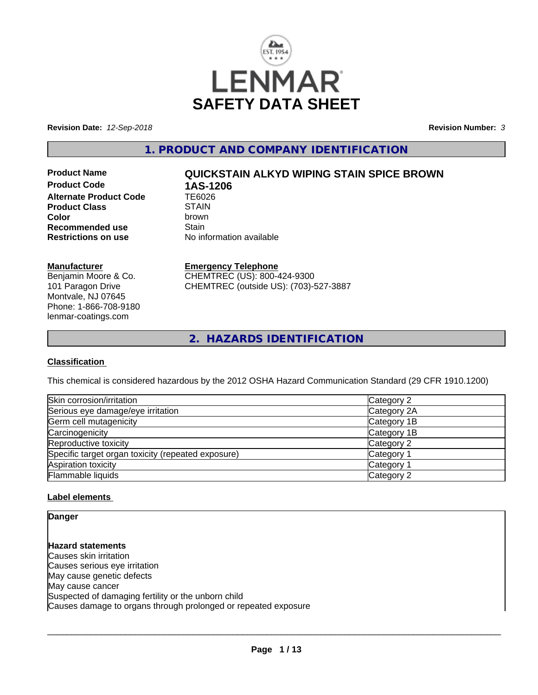

**Revision Date:** *12-Sep-2018* **Revision Number:** *3*

**1. PRODUCT AND COMPANY IDENTIFICATION**

**Product Code 1AS-1206**<br>Alternate Product Code 1E6026 **Alternate Product Code Product Class** STAIN<br> **Color** brown **Recommended use** Stain<br> **Restrictions on use** No inf

# **Product Name QUICKSTAIN ALKYD WIPING STAIN SPICE BROWN**

**Color** brown **No information available** 

#### **Manufacturer**

Benjamin Moore & Co. 101 Paragon Drive Montvale, NJ 07645 Phone: 1-866-708-9180 lenmar-coatings.com

## **Emergency Telephone**

CHEMTREC (US): 800-424-9300 CHEMTREC (outside US): (703)-527-3887

**2. HAZARDS IDENTIFICATION**

## **Classification**

This chemical is considered hazardous by the 2012 OSHA Hazard Communication Standard (29 CFR 1910.1200)

| Skin corrosion/irritation                          | Category 2  |
|----------------------------------------------------|-------------|
| Serious eye damage/eye irritation                  | Category 2A |
| Germ cell mutagenicity                             | Category 1B |
| Carcinogenicity                                    | Category 1B |
| Reproductive toxicity                              | Category 2  |
| Specific target organ toxicity (repeated exposure) | Category 1  |
| Aspiration toxicity                                | Category 1  |
| Flammable liquids                                  | Category 2  |

## **Label elements**

**Danger**

**Hazard statements** Causes skin irritation Causes serious eye irritation May cause genetic defects May cause cancer Suspected of damaging fertility or the unborn child Causes damage to organs through prolonged or repeated exposure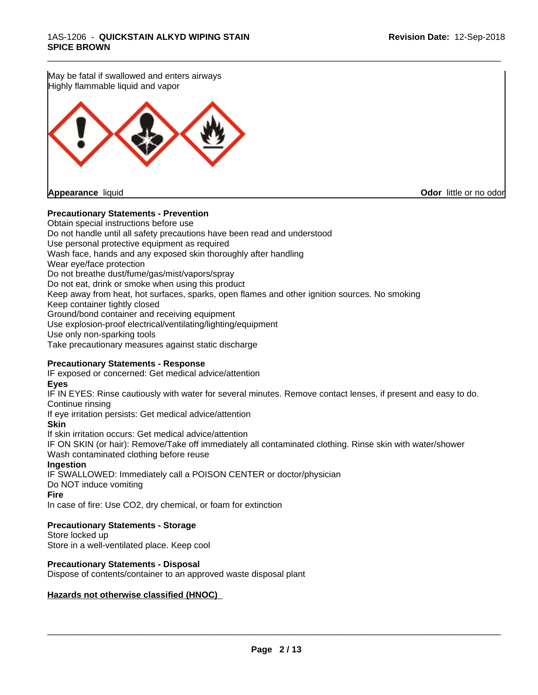May be fatal if swallowed and enters airways Highly flammable liquid and vapor

**Appearance** liquid **Odor in the original of the original of the original of the original of the original of the original of the original of the original of the original of the original of the original of the original of t** 

#### **Precautionary Statements - Prevention**

Obtain special instructions before use Do not handle until all safety precautions have been read and understood Use personal protective equipment as required Wash face, hands and any exposed skin thoroughly after handling Wear eye/face protection Do not breathe dust/fume/gas/mist/vapors/spray Do not eat, drink or smoke when using this product Keep away from heat, hot surfaces, sparks, open flames and other ignition sources. No smoking Keep container tightly closed Ground/bond container and receiving equipment Use explosion-proof electrical/ventilating/lighting/equipment Use only non-sparking tools Take precautionary measures against static discharge

## **Precautionary Statements - Response**

IF exposed or concerned: Get medical advice/attention

#### **Eyes**

IF IN EYES: Rinse cautiously with water for several minutes. Remove contact lenses, if present and easy to do. Continue rinsing

\_\_\_\_\_\_\_\_\_\_\_\_\_\_\_\_\_\_\_\_\_\_\_\_\_\_\_\_\_\_\_\_\_\_\_\_\_\_\_\_\_\_\_\_\_\_\_\_\_\_\_\_\_\_\_\_\_\_\_\_\_\_\_\_\_\_\_\_\_\_\_\_\_\_\_\_\_\_\_\_\_\_\_\_\_\_\_\_\_\_\_\_\_

If eye irritation persists: Get medical advice/attention

#### **Skin**

If skin irritation occurs: Get medical advice/attention

IF ON SKIN (or hair): Remove/Take off immediately all contaminated clothing. Rinse skin with water/shower Wash contaminated clothing before reuse

#### **Ingestion**

IF SWALLOWED: Immediately call a POISON CENTER or doctor/physician Do NOT induce vomiting

#### **Fire**

In case of fire: Use CO2, dry chemical, or foam for extinction

#### **Precautionary Statements - Storage**

Store locked up Store in a well-ventilated place. Keep cool

## **Precautionary Statements - Disposal**

Dispose of contents/container to an approved waste disposal plant

#### **Hazards not otherwise classified (HNOC)**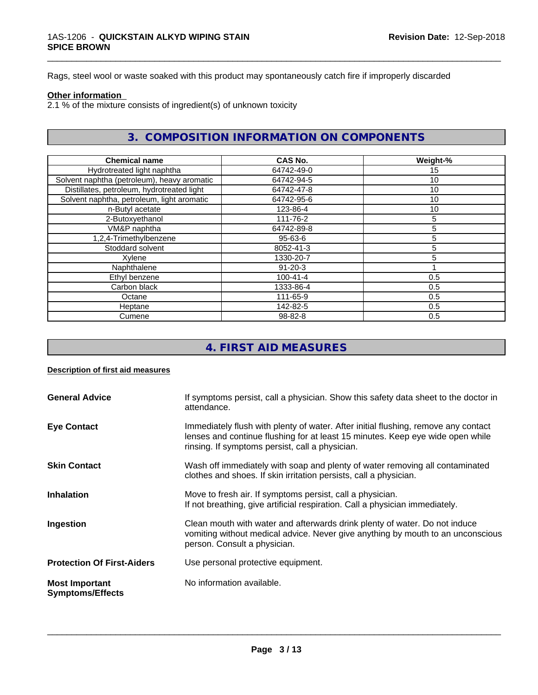Rags, steel wool or waste soaked with this product may spontaneously catch fire if improperly discarded

#### **Other information**

 $2.1$  % of the mixture consists of ingredient(s) of unknown toxicity

## **3. COMPOSITION INFORMATION ON COMPONENTS**

\_\_\_\_\_\_\_\_\_\_\_\_\_\_\_\_\_\_\_\_\_\_\_\_\_\_\_\_\_\_\_\_\_\_\_\_\_\_\_\_\_\_\_\_\_\_\_\_\_\_\_\_\_\_\_\_\_\_\_\_\_\_\_\_\_\_\_\_\_\_\_\_\_\_\_\_\_\_\_\_\_\_\_\_\_\_\_\_\_\_\_\_\_

| <b>Chemical name</b>                        | <b>CAS No.</b> | Weight-% |
|---------------------------------------------|----------------|----------|
| Hydrotreated light naphtha                  | 64742-49-0     | 15       |
| Solvent naphtha (petroleum), heavy aromatic | 64742-94-5     | 10       |
| Distillates, petroleum, hydrotreated light  | 64742-47-8     | 10       |
| Solvent naphtha, petroleum, light aromatic  | 64742-95-6     | 10       |
| n-Butyl acetate                             | 123-86-4       | 10       |
| 2-Butoxyethanol                             | 111-76-2       | 5        |
| VM&P naphtha                                | 64742-89-8     | 5        |
| 1,2,4-Trimethylbenzene                      | $95 - 63 - 6$  | 5        |
| Stoddard solvent                            | 8052-41-3      | 5        |
| Xylene                                      | 1330-20-7      | 5        |
| Naphthalene                                 | $91 - 20 - 3$  |          |
| Ethyl benzene                               | $100 - 41 - 4$ | 0.5      |
| Carbon black                                | 1333-86-4      | 0.5      |
| Octane                                      | 111-65-9       | 0.5      |
| Heptane                                     | 142-82-5       | 0.5      |
| Cumene                                      | 98-82-8        | 0.5      |

# **4. FIRST AID MEASURES**

#### **Description of first aid measures**

| <b>General Advice</b>                            | If symptoms persist, call a physician. Show this safety data sheet to the doctor in<br>attendance.                                                                                                                      |
|--------------------------------------------------|-------------------------------------------------------------------------------------------------------------------------------------------------------------------------------------------------------------------------|
| <b>Eye Contact</b>                               | Immediately flush with plenty of water. After initial flushing, remove any contact<br>lenses and continue flushing for at least 15 minutes. Keep eye wide open while<br>rinsing. If symptoms persist, call a physician. |
| <b>Skin Contact</b>                              | Wash off immediately with soap and plenty of water removing all contaminated<br>clothes and shoes. If skin irritation persists, call a physician.                                                                       |
| <b>Inhalation</b>                                | Move to fresh air. If symptoms persist, call a physician.<br>If not breathing, give artificial respiration. Call a physician immediately.                                                                               |
| Ingestion                                        | Clean mouth with water and afterwards drink plenty of water. Do not induce<br>vomiting without medical advice. Never give anything by mouth to an unconscious<br>person. Consult a physician.                           |
| <b>Protection Of First-Aiders</b>                | Use personal protective equipment.                                                                                                                                                                                      |
| <b>Most Important</b><br><b>Symptoms/Effects</b> | No information available.                                                                                                                                                                                               |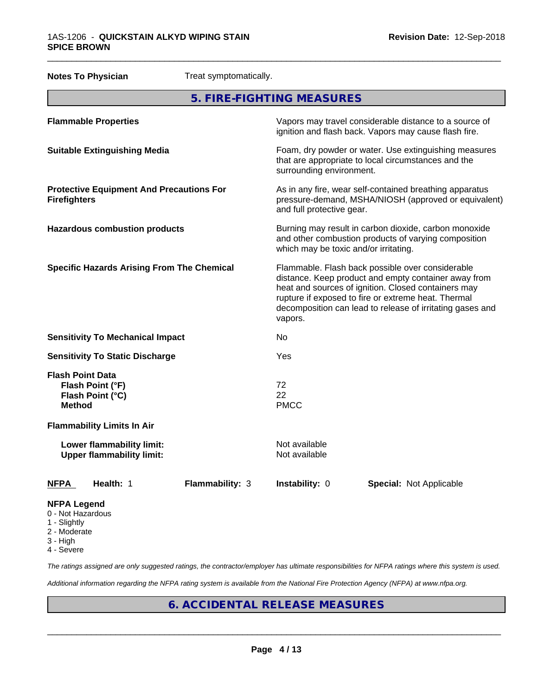|                                          | <b>Notes To Physician</b>                                     | Treat symptomatically. |                                                                                                                                                                                                                                                                                                |                                                                                                                                                        |  |  |
|------------------------------------------|---------------------------------------------------------------|------------------------|------------------------------------------------------------------------------------------------------------------------------------------------------------------------------------------------------------------------------------------------------------------------------------------------|--------------------------------------------------------------------------------------------------------------------------------------------------------|--|--|
| 5. FIRE-FIGHTING MEASURES                |                                                               |                        |                                                                                                                                                                                                                                                                                                |                                                                                                                                                        |  |  |
|                                          | <b>Flammable Properties</b>                                   |                        |                                                                                                                                                                                                                                                                                                | Vapors may travel considerable distance to a source of<br>ignition and flash back. Vapors may cause flash fire.                                        |  |  |
|                                          | <b>Suitable Extinguishing Media</b>                           |                        |                                                                                                                                                                                                                                                                                                | Foam, dry powder or water. Use extinguishing measures<br>that are appropriate to local circumstances and the<br>surrounding environment.               |  |  |
| <b>Firefighters</b>                      | <b>Protective Equipment And Precautions For</b>               |                        |                                                                                                                                                                                                                                                                                                | As in any fire, wear self-contained breathing apparatus<br>pressure-demand, MSHA/NIOSH (approved or equivalent)<br>and full protective gear.           |  |  |
|                                          | <b>Hazardous combustion products</b>                          |                        |                                                                                                                                                                                                                                                                                                | Burning may result in carbon dioxide, carbon monoxide<br>and other combustion products of varying composition<br>which may be toxic and/or irritating. |  |  |
|                                          | <b>Specific Hazards Arising From The Chemical</b>             |                        | Flammable. Flash back possible over considerable<br>distance. Keep product and empty container away from<br>heat and sources of ignition. Closed containers may<br>rupture if exposed to fire or extreme heat. Thermal<br>decomposition can lead to release of irritating gases and<br>vapors. |                                                                                                                                                        |  |  |
|                                          | <b>Sensitivity To Mechanical Impact</b>                       |                        | No                                                                                                                                                                                                                                                                                             |                                                                                                                                                        |  |  |
|                                          | <b>Sensitivity To Static Discharge</b>                        |                        | Yes                                                                                                                                                                                                                                                                                            |                                                                                                                                                        |  |  |
| <b>Flash Point Data</b><br><b>Method</b> | Flash Point (°F)<br>Flash Point (°C)                          |                        | 72<br>22<br><b>PMCC</b>                                                                                                                                                                                                                                                                        |                                                                                                                                                        |  |  |
|                                          | <b>Flammability Limits In Air</b>                             |                        |                                                                                                                                                                                                                                                                                                |                                                                                                                                                        |  |  |
|                                          | Lower flammability limit:<br><b>Upper flammability limit:</b> |                        | Not available<br>Not available                                                                                                                                                                                                                                                                 |                                                                                                                                                        |  |  |
| NFPA                                     | Health: 1                                                     | <b>Flammability: 3</b> | Instability: 0                                                                                                                                                                                                                                                                                 | <b>Special: Not Applicable</b>                                                                                                                         |  |  |
| <b>NFPA Legend</b><br>0 - Not Hazardous  |                                                               |                        |                                                                                                                                                                                                                                                                                                |                                                                                                                                                        |  |  |

- 1 Slightly
- 2 Moderate
- 3 High
- 4 Severe

*The ratings assigned are only suggested ratings, the contractor/employer has ultimate responsibilities for NFPA ratings where this system is used.*

*Additional information regarding the NFPA rating system is available from the National Fire Protection Agency (NFPA) at www.nfpa.org.*

# **6. ACCIDENTAL RELEASE MEASURES**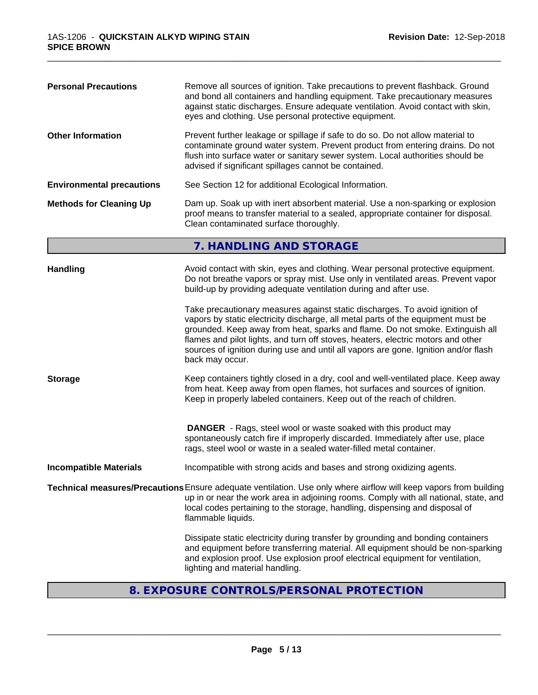| <b>Personal Precautions</b>      | Remove all sources of ignition. Take precautions to prevent flashback. Ground<br>and bond all containers and handling equipment. Take precautionary measures<br>against static discharges. Ensure adequate ventilation. Avoid contact with skin,<br>eyes and clothing. Use personal protective equipment.                                                                                                                                      |
|----------------------------------|------------------------------------------------------------------------------------------------------------------------------------------------------------------------------------------------------------------------------------------------------------------------------------------------------------------------------------------------------------------------------------------------------------------------------------------------|
| <b>Other Information</b>         | Prevent further leakage or spillage if safe to do so. Do not allow material to<br>contaminate ground water system. Prevent product from entering drains. Do not<br>flush into surface water or sanitary sewer system. Local authorities should be<br>advised if significant spillages cannot be contained.                                                                                                                                     |
| <b>Environmental precautions</b> | See Section 12 for additional Ecological Information.                                                                                                                                                                                                                                                                                                                                                                                          |
| <b>Methods for Cleaning Up</b>   | Dam up. Soak up with inert absorbent material. Use a non-sparking or explosion<br>proof means to transfer material to a sealed, appropriate container for disposal.<br>Clean contaminated surface thoroughly.                                                                                                                                                                                                                                  |
|                                  | 7. HANDLING AND STORAGE                                                                                                                                                                                                                                                                                                                                                                                                                        |
| <b>Handling</b>                  | Avoid contact with skin, eyes and clothing. Wear personal protective equipment.<br>Do not breathe vapors or spray mist. Use only in ventilated areas. Prevent vapor<br>build-up by providing adequate ventilation during and after use.                                                                                                                                                                                                        |
|                                  | Take precautionary measures against static discharges. To avoid ignition of<br>vapors by static electricity discharge, all metal parts of the equipment must be<br>grounded. Keep away from heat, sparks and flame. Do not smoke. Extinguish all<br>flames and pilot lights, and turn off stoves, heaters, electric motors and other<br>sources of ignition during use and until all vapors are gone. Ignition and/or flash<br>back may occur. |
| <b>Storage</b>                   | Keep containers tightly closed in a dry, cool and well-ventilated place. Keep away<br>from heat. Keep away from open flames, hot surfaces and sources of ignition.<br>Keep in properly labeled containers. Keep out of the reach of children.                                                                                                                                                                                                  |
|                                  | <b>DANGER</b> - Rags, steel wool or waste soaked with this product may<br>spontaneously catch fire if improperly discarded. Immediately after use, place<br>rags, steel wool or waste in a sealed water-filled metal container.                                                                                                                                                                                                                |
| <b>Incompatible Materials</b>    | Incompatible with strong acids and bases and strong oxidizing agents.                                                                                                                                                                                                                                                                                                                                                                          |
|                                  | Technical measures/Precautions Ensure adequate ventilation. Use only where airflow will keep vapors from building<br>up in or near the work area in adjoining rooms. Comply with all national, state, and<br>local codes pertaining to the storage, handling, dispensing and disposal of<br>flammable liquids.                                                                                                                                 |
|                                  | Dissipate static electricity during transfer by grounding and bonding containers<br>and equipment before transferring material. All equipment should be non-sparking<br>and explosion proof. Use explosion proof electrical equipment for ventilation,<br>lighting and material handling.                                                                                                                                                      |
|                                  |                                                                                                                                                                                                                                                                                                                                                                                                                                                |

## **8. EXPOSURE CONTROLS/PERSONAL PROTECTION**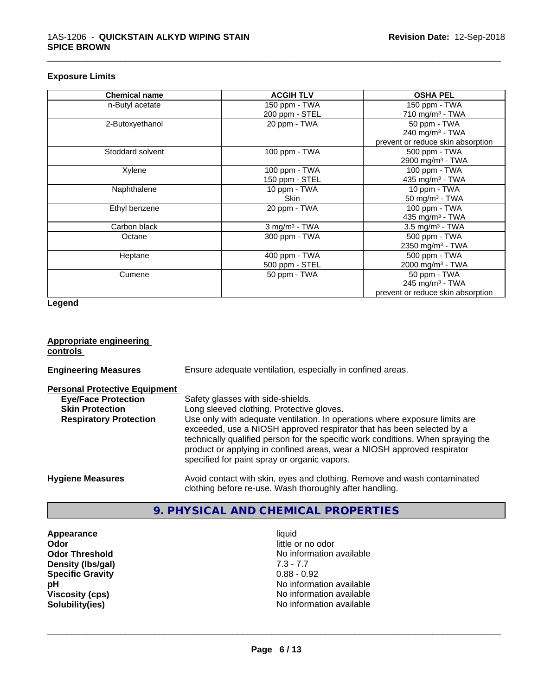#### **Exposure Limits**

| <b>Chemical name</b> | <b>ACGIH TLV</b>            | <b>OSHA PEL</b>                   |
|----------------------|-----------------------------|-----------------------------------|
| n-Butyl acetate      | 150 ppm - TWA               | 150 ppm - TWA                     |
|                      | 200 ppm - STEL              | 710 mg/m $3$ - TWA                |
| 2-Butoxyethanol      | 20 ppm - TWA                | 50 ppm - TWA                      |
|                      |                             | $240$ mg/m <sup>3</sup> - TWA     |
|                      |                             | prevent or reduce skin absorption |
| Stoddard solvent     | 100 ppm - TWA               | 500 ppm - TWA                     |
|                      |                             | 2900 mg/m <sup>3</sup> - TWA      |
| Xylene               | 100 ppm - TWA               | 100 ppm - TWA                     |
|                      | 150 ppm - STEL              | 435 mg/m <sup>3</sup> - TWA       |
| Naphthalene          | 10 ppm - TWA                | 10 ppm - TWA                      |
|                      | <b>Skin</b>                 | 50 mg/m $3$ - TWA                 |
| Ethyl benzene        | 20 ppm - TWA                | $100$ ppm $-$ TWA                 |
|                      |                             | 435 mg/m <sup>3</sup> - TWA       |
| Carbon black         | $3$ mg/m <sup>3</sup> - TWA | 3.5 mg/m <sup>3</sup> - TWA       |
| Octane               | 300 ppm - TWA               | 500 ppm - TWA                     |
|                      |                             | 2350 mg/m <sup>3</sup> - TWA      |
| Heptane              | 400 ppm - TWA               | 500 ppm - TWA                     |
|                      | 500 ppm - STEL              | 2000 mg/m <sup>3</sup> - TWA      |
| Cumene               | 50 ppm - TWA                | 50 ppm - TWA                      |
|                      |                             | 245 mg/m <sup>3</sup> - TWA       |
|                      |                             | prevent or reduce skin absorption |

\_\_\_\_\_\_\_\_\_\_\_\_\_\_\_\_\_\_\_\_\_\_\_\_\_\_\_\_\_\_\_\_\_\_\_\_\_\_\_\_\_\_\_\_\_\_\_\_\_\_\_\_\_\_\_\_\_\_\_\_\_\_\_\_\_\_\_\_\_\_\_\_\_\_\_\_\_\_\_\_\_\_\_\_\_\_\_\_\_\_\_\_\_

**Legend**

| <b>Appropriate engineering</b><br>controls |                                                                                                                                                                                                                                                                                                                                                                     |
|--------------------------------------------|---------------------------------------------------------------------------------------------------------------------------------------------------------------------------------------------------------------------------------------------------------------------------------------------------------------------------------------------------------------------|
| <b>Engineering Measures</b>                | Ensure adequate ventilation, especially in confined areas.                                                                                                                                                                                                                                                                                                          |
| <b>Personal Protective Equipment</b>       |                                                                                                                                                                                                                                                                                                                                                                     |
| <b>Eye/Face Protection</b>                 | Safety glasses with side-shields.                                                                                                                                                                                                                                                                                                                                   |
| <b>Skin Protection</b>                     | Long sleeved clothing. Protective gloves.                                                                                                                                                                                                                                                                                                                           |
| <b>Respiratory Protection</b>              | Use only with adequate ventilation. In operations where exposure limits are<br>exceeded, use a NIOSH approved respirator that has been selected by a<br>technically qualified person for the specific work conditions. When spraying the<br>product or applying in confined areas, wear a NIOSH approved respirator<br>specified for paint spray or organic vapors. |
| <b>Hygiene Measures</b>                    | Avoid contact with skin, eyes and clothing. Remove and wash contaminated<br>clothing before re-use. Wash thoroughly after handling.                                                                                                                                                                                                                                 |

## **9. PHYSICAL AND CHEMICAL PROPERTIES**

**Appearance** liquid<br> **Odor** little c **Density (Ibs/gal)** 7.3 - 7.7<br> **Specific Gravity** 0.88 - 0.92 **Specific Gravity** 

little or no odor **Odor Threshold**<br> **Density (Ibs/aal)**<br> **Density (Ibs/aal)**<br> **No information available**<br> **No information available**<br> **No information available pH**<br>
Viscosity (cps)<br>
Solubility(ies)<br>
Solubility(ies)<br>
No information available<br>
No information available<br>
No information available **Viscosity (cps)** No information available **No information available**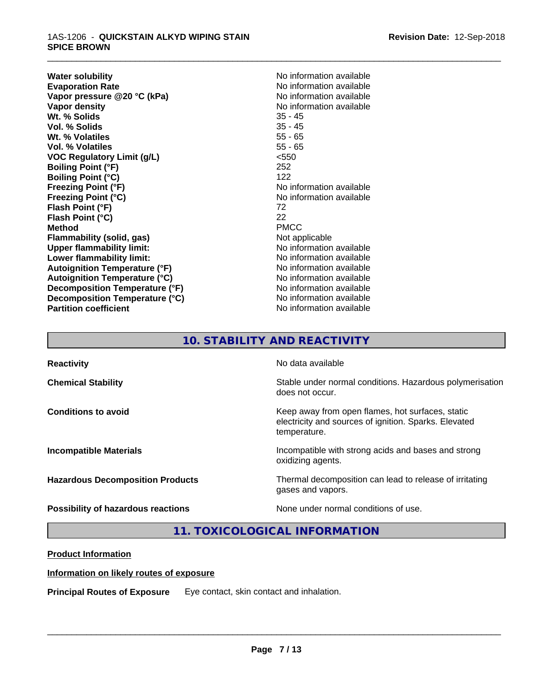#### 1AS-1206 - **QUICKSTAIN ALKYD WIPING STAIN SPICE BROWN**

**Water solubility Mater Solubility**<br> **Evaporation Rate** Mate No information available **Vapor** pressure @20 °C (kPa) **Vapor density**<br> **We Solids**<br>
We Solids
25 - 45 **Wt. % Solids** 35 - 45<br> **Vol. % Solids** 35 - 45 **Vol. % Solids Wt. % Volatiles** 55 - 65 **Vol. % Volatiles** 55 - 65 **VOC Regulatory Limit (g/L)** <550 **Boiling Point (°F)** 252 **Boiling Point (°C)** 122 **Freezing Point (°F)** No information available **Freezing Point (°C)**<br> **Flash Point (°F)**<br> **Flash Point (°F)**<br> **Flash Point (°F)**<br> **Point (°F) Flash Point (°F)** 72 **Flash Point (°C)** 22 **Method** PMCC **Flammability (solid, gas)** Not applicable **Upper flammability limit:** No information available **Lower flammability limit:**<br> **Autoignition Temperature (°F)** No information available<br>
No information available **Autoignition Temperature (°F) Autoignition Temperature (°C)** No information available **Decomposition Temperature (°F)** No information available **Decomposition Temperature (°C)** No information available **Partition coefficient** No information available

No information available<br>No information available

\_\_\_\_\_\_\_\_\_\_\_\_\_\_\_\_\_\_\_\_\_\_\_\_\_\_\_\_\_\_\_\_\_\_\_\_\_\_\_\_\_\_\_\_\_\_\_\_\_\_\_\_\_\_\_\_\_\_\_\_\_\_\_\_\_\_\_\_\_\_\_\_\_\_\_\_\_\_\_\_\_\_\_\_\_\_\_\_\_\_\_\_\_

# **10. STABILITY AND REACTIVITY**

| <b>Reactivity</b>                       | No data available                                                                                                         |
|-----------------------------------------|---------------------------------------------------------------------------------------------------------------------------|
| <b>Chemical Stability</b>               | Stable under normal conditions. Hazardous polymerisation<br>does not occur.                                               |
| <b>Conditions to avoid</b>              | Keep away from open flames, hot surfaces, static<br>electricity and sources of ignition. Sparks. Elevated<br>temperature. |
| <b>Incompatible Materials</b>           | Incompatible with strong acids and bases and strong<br>oxidizing agents.                                                  |
| <b>Hazardous Decomposition Products</b> | Thermal decomposition can lead to release of irritating<br>gases and vapors.                                              |
| Possibility of hazardous reactions      | None under normal conditions of use.                                                                                      |

**11. TOXICOLOGICAL INFORMATION**

## **Product Information**

## **Information on likely routes of exposure**

**Principal Routes of Exposure** Eye contact, skin contact and inhalation.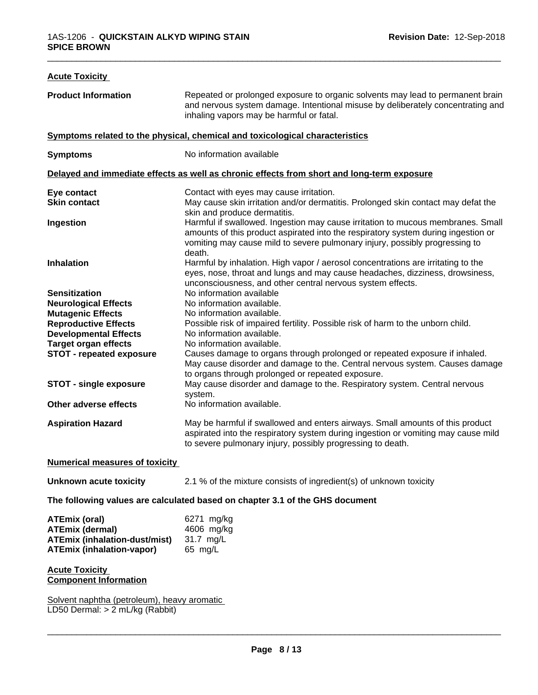| <b>Acute Toxicity</b>                                                                                                      |                                                                                                                                                                                                                                                               |
|----------------------------------------------------------------------------------------------------------------------------|---------------------------------------------------------------------------------------------------------------------------------------------------------------------------------------------------------------------------------------------------------------|
| <b>Product Information</b>                                                                                                 | Repeated or prolonged exposure to organic solvents may lead to permanent brain<br>and nervous system damage. Intentional misuse by deliberately concentrating and<br>inhaling vapors may be harmful or fatal.                                                 |
|                                                                                                                            | Symptoms related to the physical, chemical and toxicological characteristics                                                                                                                                                                                  |
| <b>Symptoms</b>                                                                                                            | No information available                                                                                                                                                                                                                                      |
|                                                                                                                            | Delayed and immediate effects as well as chronic effects from short and long-term exposure                                                                                                                                                                    |
| Eye contact<br><b>Skin contact</b>                                                                                         | Contact with eyes may cause irritation.<br>May cause skin irritation and/or dermatitis. Prolonged skin contact may defat the<br>skin and produce dermatitis.                                                                                                  |
| Ingestion                                                                                                                  | Harmful if swallowed. Ingestion may cause irritation to mucous membranes. Small<br>amounts of this product aspirated into the respiratory system during ingestion or<br>vomiting may cause mild to severe pulmonary injury, possibly progressing to<br>death. |
| <b>Inhalation</b>                                                                                                          | Harmful by inhalation. High vapor / aerosol concentrations are irritating to the<br>eyes, nose, throat and lungs and may cause headaches, dizziness, drowsiness,<br>unconsciousness, and other central nervous system effects.                                |
| <b>Sensitization</b>                                                                                                       | No information available                                                                                                                                                                                                                                      |
| <b>Neurological Effects</b>                                                                                                | No information available.                                                                                                                                                                                                                                     |
| <b>Mutagenic Effects</b>                                                                                                   | No information available.                                                                                                                                                                                                                                     |
| <b>Reproductive Effects</b><br><b>Developmental Effects</b>                                                                | Possible risk of impaired fertility. Possible risk of harm to the unborn child.<br>No information available.                                                                                                                                                  |
| <b>Target organ effects</b>                                                                                                | No information available.                                                                                                                                                                                                                                     |
| <b>STOT - repeated exposure</b>                                                                                            | Causes damage to organs through prolonged or repeated exposure if inhaled.<br>May cause disorder and damage to the. Central nervous system. Causes damage<br>to organs through prolonged or repeated exposure.                                                |
| <b>STOT - single exposure</b>                                                                                              | May cause disorder and damage to the. Respiratory system. Central nervous<br>system.                                                                                                                                                                          |
| Other adverse effects                                                                                                      | No information available.                                                                                                                                                                                                                                     |
| <b>Aspiration Hazard</b>                                                                                                   | May be harmful if swallowed and enters airways. Small amounts of this product<br>aspirated into the respiratory system during ingestion or vomiting may cause mild<br>to severe pulmonary injury, possibly progressing to death.                              |
| <b>Numerical measures of toxicity</b>                                                                                      |                                                                                                                                                                                                                                                               |
| <b>Unknown acute toxicity</b>                                                                                              | 2.1 % of the mixture consists of ingredient(s) of unknown toxicity                                                                                                                                                                                            |
|                                                                                                                            | The following values are calculated based on chapter 3.1 of the GHS document                                                                                                                                                                                  |
| <b>ATEmix (oral)</b><br><b>ATEmix (dermal)</b><br><b>ATEmix (inhalation-dust/mist)</b><br><b>ATEmix (inhalation-vapor)</b> | 6271 mg/kg<br>4606 mg/kg<br>31.7 mg/L<br>65 mg/L                                                                                                                                                                                                              |
| <b>Acute Toxicity</b><br><b>Component Information</b>                                                                      |                                                                                                                                                                                                                                                               |
| Solvent naphtha (petroleum), heavy aromatic<br>LD50 Dermal: > 2 mL/kg (Rabbit)                                             |                                                                                                                                                                                                                                                               |
|                                                                                                                            |                                                                                                                                                                                                                                                               |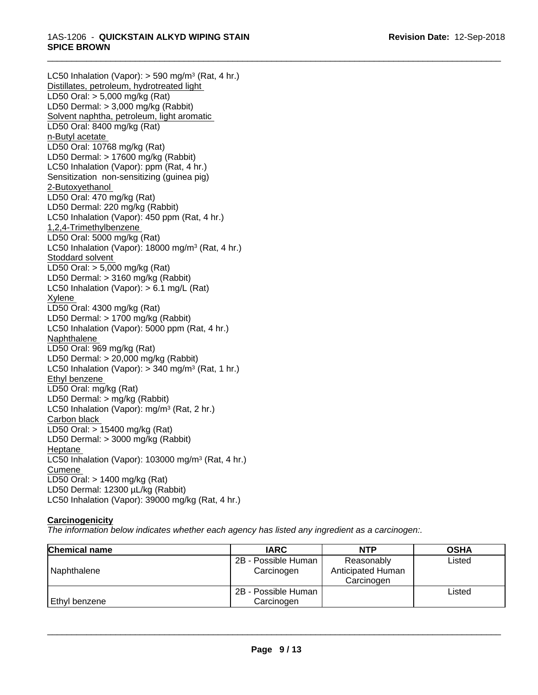LC50 Inhalation (Vapor): > 590 mg/m<sup>3</sup> (Rat, 4 hr.) Distillates, petroleum, hydrotreated light LD50 Oral: > 5,000 mg/kg (Rat) LD50 Dermal: > 3,000 mg/kg (Rabbit) Solvent naphtha, petroleum, light aromatic LD50 Oral: 8400 mg/kg (Rat) n-Butyl acetate LD50 Oral: 10768 mg/kg (Rat) LD50 Dermal: > 17600 mg/kg (Rabbit) LC50 Inhalation (Vapor): ppm (Rat, 4 hr.) Sensitization non-sensitizing (guinea pig) 2-Butoxyethanol LD50 Oral: 470 mg/kg (Rat) LD50 Dermal: 220 mg/kg (Rabbit) LC50 Inhalation (Vapor): 450 ppm (Rat, 4 hr.) 1,2,4-Trimethylbenzene LD50 Oral: 5000 mg/kg (Rat) LC50 Inhalation (Vapor): 18000 mg/m<sup>3</sup> (Rat, 4 hr.) Stoddard solvent LD50 Oral: > 5,000 mg/kg (Rat) LD50 Dermal: > 3160 mg/kg (Rabbit) LC50 Inhalation (Vapor): > 6.1 mg/L (Rat) Xylene LD50 Oral: 4300 mg/kg (Rat) LD50 Dermal: > 1700 mg/kg (Rabbit) LC50 Inhalation (Vapor): 5000 ppm (Rat, 4 hr.) Naphthalene LD50 Oral: 969 mg/kg (Rat) LD50 Dermal: > 20,000 mg/kg (Rabbit) LC50 Inhalation (Vapor): > 340 mg/m<sup>3</sup> (Rat, 1 hr.) Ethyl benzene LD50 Oral: mg/kg (Rat) LD50 Dermal: > mg/kg (Rabbit) LC50 Inhalation (Vapor): mg/m<sup>3</sup> (Rat, 2 hr.) Carbon black LD50 Oral: > 15400 mg/kg (Rat) LD50 Dermal: > 3000 mg/kg (Rabbit) Heptane LC50 Inhalation (Vapor): 103000 mg/m<sup>3</sup> (Rat, 4 hr.) Cumene LD50 Oral: > 1400 mg/kg (Rat) LD50 Dermal: 12300 µL/kg (Rabbit) LC50 Inhalation (Vapor): 39000 mg/kg (Rat, 4 hr.)

## **Carcinogenicity**

*The information below indicateswhether each agency has listed any ingredient as a carcinogen:.*

| <b>Chemical name</b> | <b>IARC</b>                       | <b>NTP</b>                                    | <b>OSHA</b> |
|----------------------|-----------------------------------|-----------------------------------------------|-------------|
| Naphthalene          | 2B - Possible Human<br>Carcinogen | Reasonably<br>Anticipated Human<br>Carcinogen | Listed      |
| <b>Ethyl benzene</b> | 2B - Possible Human<br>Carcinogen |                                               | Listed      |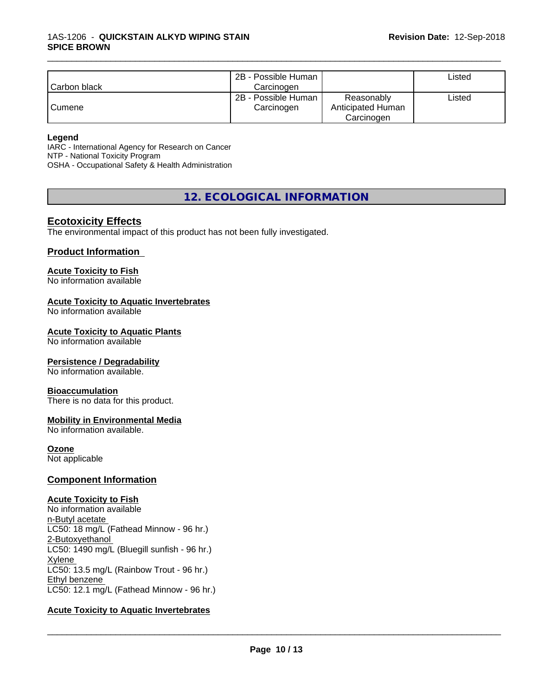| l Carbon black | 2B - Possible Human<br>Carcinogen |                                               | ∟isted |
|----------------|-----------------------------------|-----------------------------------------------|--------|
| Cumene         | 2B - Possible Human<br>Carcinogen | Reasonably<br>Anticipated Human<br>Carcinogen | ∟isted |

#### **Legend**

IARC - International Agency for Research on Cancer NTP - National Toxicity Program OSHA - Occupational Safety & Health Administration

**12. ECOLOGICAL INFORMATION**

## **Ecotoxicity Effects**

The environmental impact of this product has not been fully investigated.

## **Product Information**

#### **Acute Toxicity to Fish**

No information available

#### **Acute Toxicity to Aquatic Invertebrates**

No information available

#### **Acute Toxicity to Aquatic Plants**

No information available

#### **Persistence / Degradability**

No information available.

#### **Bioaccumulation**

There is no data for this product.

## **Mobility in Environmental Media**

No information available.

#### **Ozone**

Not applicable

#### **Component Information**

#### **Acute Toxicity to Fish**

No information available n-Butyl acetate LC50: 18 mg/L (Fathead Minnow - 96 hr.) 2-Butoxyethanol LC50: 1490 mg/L (Bluegill sunfish - 96 hr.) Xylene LC50: 13.5 mg/L (Rainbow Trout - 96 hr.) Ethyl benzene LC50: 12.1 mg/L (Fathead Minnow - 96 hr.)

#### **Acute Toxicity to Aquatic Invertebrates**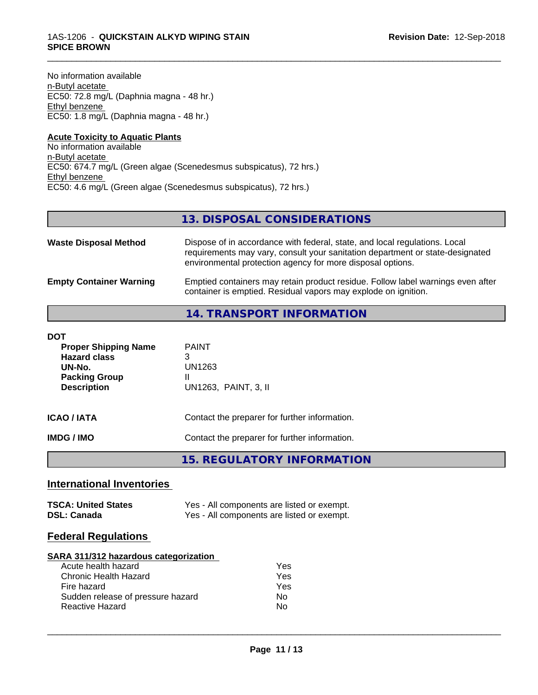No information available n-Butyl acetate EC50: 72.8 mg/L (Daphnia magna - 48 hr.) Ethyl benzene EC50: 1.8 mg/L (Daphnia magna - 48 hr.)

#### **Acute Toxicity to Aquatic Plants** No information available n-Butyl acetate EC50: 674.7 mg/L (Green algae (Scenedesmus subspicatus), 72 hrs.) Ethyl benzene EC50: 4.6 mg/L (Green algae (Scenedesmus subspicatus), 72 hrs.)

## **13. DISPOSAL CONSIDERATIONS**

\_\_\_\_\_\_\_\_\_\_\_\_\_\_\_\_\_\_\_\_\_\_\_\_\_\_\_\_\_\_\_\_\_\_\_\_\_\_\_\_\_\_\_\_\_\_\_\_\_\_\_\_\_\_\_\_\_\_\_\_\_\_\_\_\_\_\_\_\_\_\_\_\_\_\_\_\_\_\_\_\_\_\_\_\_\_\_\_\_\_\_\_\_

| <b>Waste Disposal Method</b>   | Dispose of in accordance with federal, state, and local regulations. Local<br>requirements may vary, consult your sanitation department or state-designated<br>environmental protection agency for more disposal options. |
|--------------------------------|---------------------------------------------------------------------------------------------------------------------------------------------------------------------------------------------------------------------------|
| <b>Empty Container Warning</b> | Emptied containers may retain product residue. Follow label warnings even after<br>container is emptied. Residual vapors may explode on ignition.                                                                         |

## **14. TRANSPORT INFORMATION**

| DOT<br><b>Proper Shipping Name</b><br><b>Hazard class</b><br>UN-No.<br><b>Packing Group</b><br><b>Description</b> | <b>PAINT</b><br>3<br>UN1263<br>Ш<br>UN1263, PAINT, 3, II |
|-------------------------------------------------------------------------------------------------------------------|----------------------------------------------------------|
| ICAO / IATA                                                                                                       | Contact the preparer for further information.            |
| IMDG / IMO                                                                                                        | Contact the preparer for further information.            |

**15. REGULATORY INFORMATION**

## **International Inventories**

| <b>TSCA: United States</b> | Yes - All components are listed or exempt. |
|----------------------------|--------------------------------------------|
| <b>DSL: Canada</b>         | Yes - All components are listed or exempt. |

## **Federal Regulations**

#### **SARA 311/312 hazardous categorization**

| Acute health hazard               | Yes |
|-----------------------------------|-----|
| Chronic Health Hazard             | Yes |
| Fire hazard                       | Yes |
| Sudden release of pressure hazard | Nο  |
| <b>Reactive Hazard</b>            | N٥  |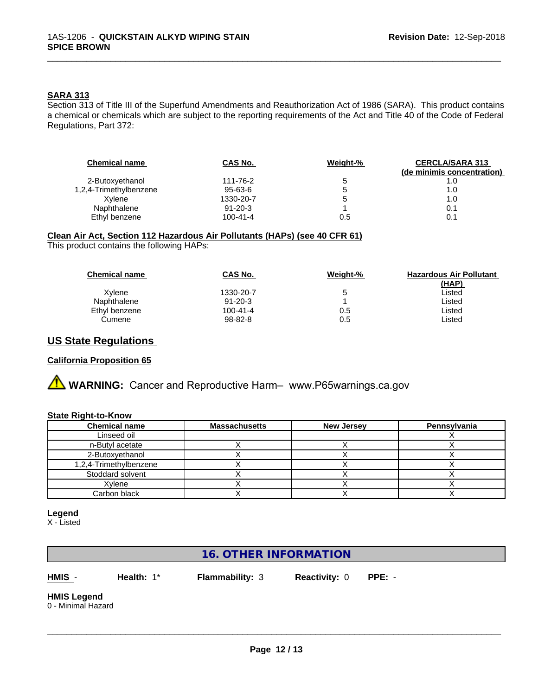#### **SARA 313**

Section 313 of Title III of the Superfund Amendments and Reauthorization Act of 1986 (SARA). This product contains a chemical or chemicals which are subject to the reporting requirements of the Act and Title 40 of the Code of Federal Regulations, Part 372:

\_\_\_\_\_\_\_\_\_\_\_\_\_\_\_\_\_\_\_\_\_\_\_\_\_\_\_\_\_\_\_\_\_\_\_\_\_\_\_\_\_\_\_\_\_\_\_\_\_\_\_\_\_\_\_\_\_\_\_\_\_\_\_\_\_\_\_\_\_\_\_\_\_\_\_\_\_\_\_\_\_\_\_\_\_\_\_\_\_\_\_\_\_

| <b>Chemical name</b>   | CAS No.       | Weight-% | <b>CERCLA/SARA 313</b><br>(de minimis concentration) |
|------------------------|---------------|----------|------------------------------------------------------|
| 2-Butoxyethanol        | 111-76-2      | 5        | 1.0                                                  |
| 1,2,4-Trimethylbenzene | $95 - 63 - 6$ | 5        | 1.0                                                  |
| Xvlene                 | 1330-20-7     | G        | 1.0                                                  |
| Naphthalene            | $91 - 20 - 3$ |          | 0.1                                                  |
| Ethyl benzene          | 100-41-4      | 0.5      | 0.1                                                  |

#### **Clean Air Act,Section 112 Hazardous Air Pollutants (HAPs) (see 40 CFR 61)**

This product contains the following HAPs:

| <b>Chemical name</b> | <b>CAS No.</b> | Weight-% | <b>Hazardous Air Pollutant</b> |
|----------------------|----------------|----------|--------------------------------|
|                      |                |          | (HAP)                          |
| Xvlene               | 1330-20-7      | 5        | Listed                         |
| Naphthalene          | $91 - 20 - 3$  |          | Listed                         |
| Ethyl benzene        | $100 - 41 - 4$ | 0.5      | Listed                         |
| Cumene               | 98-82-8        | 0.5      | Listed                         |

## **US State Regulations**

#### **California Proposition 65**

**AVIMARNING:** Cancer and Reproductive Harm– www.P65warnings.ca.gov

#### **State Right-to-Know**

| <b>Chemical name</b>   | Massachusetts | <b>New Jersey</b> | Pennsylvania |
|------------------------|---------------|-------------------|--------------|
| Linseed oil            |               |                   |              |
| n-Butyl acetate        |               |                   |              |
| 2-Butoxvethanol        |               |                   |              |
| 1,2,4-Trimethylbenzene |               |                   |              |
| Stoddard solvent       |               |                   |              |
| Xvlene                 |               |                   |              |
| Carbon black           |               |                   |              |

#### **Legend**

X - Listed

## **16. OTHER INFORMATION**

**HMIS** - **Health:** 1\* **Flammability:** 3 **Reactivity:** 0 **PPE:** -

 $\overline{\phantom{a}}$  ,  $\overline{\phantom{a}}$  ,  $\overline{\phantom{a}}$  ,  $\overline{\phantom{a}}$  ,  $\overline{\phantom{a}}$  ,  $\overline{\phantom{a}}$  ,  $\overline{\phantom{a}}$  ,  $\overline{\phantom{a}}$  ,  $\overline{\phantom{a}}$  ,  $\overline{\phantom{a}}$  ,  $\overline{\phantom{a}}$  ,  $\overline{\phantom{a}}$  ,  $\overline{\phantom{a}}$  ,  $\overline{\phantom{a}}$  ,  $\overline{\phantom{a}}$  ,  $\overline{\phantom{a}}$ 

#### **HMIS Legend**

0 - Minimal Hazard